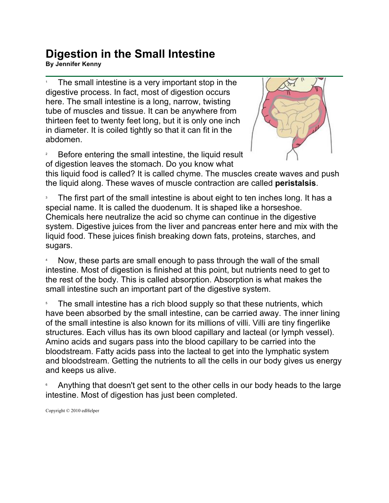## **Digestion in the Small Intestine By Jennifer Kenny**

1 The small intestine is a very important stop in the digestive process. In fact, most of digestion occurs here. The small intestine is a long, narrow, twisting tube of muscles and tissue. It can be anywhere from thirteen feet to twenty feet long, but it is only one inch in diameter. It is coiled tightly so that it can fit in the abdomen.





this liquid food is called? It is called chyme. The muscles create waves and push the liquid along. These waves of muscle contraction are called **peristalsis**.

3 The first part of the small intestine is about eight to ten inches long. It has a special name. It is called the duodenum. It is shaped like a horseshoe. Chemicals here neutralize the acid so chyme can continue in the digestive system. Digestive juices from the liver and pancreas enter here and mix with the liquid food. These juices finish breaking down fats, proteins, starches, and sugars.

4 Now, these parts are small enough to pass through the wall of the small intestine. Most of digestion is finished at this point, but nutrients need to get to the rest of the body. This is called absorption. Absorption is what makes the small intestine such an important part of the digestive system.

5 The small intestine has a rich blood supply so that these nutrients, which have been absorbed by the small intestine, can be carried away. The inner lining of the small intestine is also known for its millions of villi. Villi are tiny fingerlike structures. Each villus has its own blood capillary and lacteal (or lymph vessel). Amino acids and sugars pass into the blood capillary to be carried into the bloodstream. Fatty acids pass into the lacteal to get into the lymphatic system and bloodstream. Getting the nutrients to all the cells in our body gives us energy and keeps us alive.

6 Anything that doesn't get sent to the other cells in our body heads to the large intestine. Most of digestion has just been completed.

Copyright © 2010 edHelper